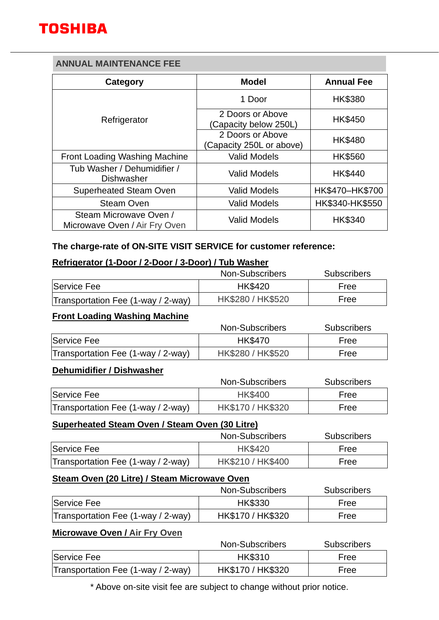# **ANNUAL MAINTENANCE FEE**

| Category                                                | <b>Model</b>                                 | <b>Annual Fee</b> |
|---------------------------------------------------------|----------------------------------------------|-------------------|
| Refrigerator                                            | 1 Door                                       | <b>HK\$380</b>    |
|                                                         | 2 Doors or Above<br>(Capacity below 250L)    | HK\$450           |
|                                                         | 2 Doors or Above<br>(Capacity 250L or above) | <b>HK\$480</b>    |
| <b>Front Loading Washing Machine</b>                    | <b>Valid Models</b>                          | <b>HK\$560</b>    |
| Tub Washer / Dehumidifier /<br><b>Dishwasher</b>        | <b>Valid Models</b>                          | HK\$440           |
| <b>Superheated Steam Oven</b>                           | <b>Valid Models</b>                          | HK\$470-HK\$700   |
| <b>Steam Oven</b>                                       | <b>Valid Models</b>                          | HK\$340-HK\$550   |
| Steam Microwave Oven /<br>Microwave Oven / Air Fry Oven | <b>Valid Models</b>                          | <b>HK\$340</b>    |

## **The charge-rate of ON-SITE VISIT SERVICE for customer reference:**

## **Refrigerator (1-Door / 2-Door / 3-Door) / Tub Washer**

|                                    | Non-Subscribers   | <b>Subscribers</b> |
|------------------------------------|-------------------|--------------------|
| Service Fee                        | <b>HK\$420</b>    | Free               |
| Transportation Fee (1-way / 2-way) | HK\$280 / HK\$520 | Free               |

### **Front Loading Washing Machine**

|                                    | Non-Subscribers   | <b>Subscribers</b> |
|------------------------------------|-------------------|--------------------|
| Service Fee                        | <b>HK\$470</b>    | Free               |
| Transportation Fee (1-way / 2-way) | HK\$280 / HK\$520 | Free               |

### **Dehumidifier / Dishwasher**

|                                    | Non-Subscribers   | <b>Subscribers</b> |
|------------------------------------|-------------------|--------------------|
| Service Fee                        | <b>HK\$400</b>    | Free               |
| Transportation Fee (1-way / 2-way) | HK\$170 / HK\$320 | Free               |

# **Superheated Steam Oven / Steam Oven (30 Litre)**

|                                    | Non-Subscribers   | <b>Subscribers</b> |
|------------------------------------|-------------------|--------------------|
| Service Fee                        | <b>HK\$420</b>    | Free               |
| Transportation Fee (1-way / 2-way) | HK\$210 / HK\$400 | Free               |

### **Steam Oven (20 Litre) / Steam Microwave Oven**

|                                    | Non-Subscribers   | <b>Subscribers</b> |
|------------------------------------|-------------------|--------------------|
| Service Fee                        | <b>HK\$330</b>    | Free               |
| Transportation Fee (1-way / 2-way) | HK\$170 / HK\$320 | Free               |

# **Microwave Oven / Air Fry Oven**

|                                    | Non-Subscribers   | <b>Subscribers</b> |
|------------------------------------|-------------------|--------------------|
| Service Fee                        | <b>HK\$310</b>    | Free               |
| Transportation Fee (1-way / 2-way) | HK\$170 / HK\$320 | Free               |

\* Above on-site visit fee are subject to change without prior notice.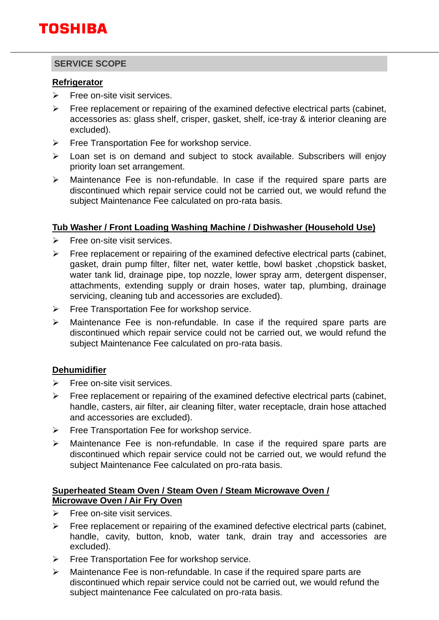# **SERVICE SCOPE**

# **Refrigerator**

- $\triangleright$  Free on-site visit services.
- ➢ Free replacement or repairing of the examined defective electrical parts (cabinet, accessories as: glass shelf, crisper, gasket, shelf, ice-tray & interior cleaning are excluded).
- ➢ Free Transportation Fee for workshop service.
- ➢ Loan set is on demand and subject to stock available. Subscribers will enjoy priority loan set arrangement.
- ➢ Maintenance Fee is non-refundable. In case if the required spare parts are discontinued which repair service could not be carried out, we would refund the subject Maintenance Fee calculated on pro-rata basis.

## **Tub Washer / Front Loading Washing Machine / Dishwasher (Household Use)**

- $\triangleright$  Free on-site visit services.
- $\triangleright$  Free replacement or repairing of the examined defective electrical parts (cabinet, gasket, drain pump filter, filter net, water kettle, bowl basket ,chopstick basket, water tank lid, drainage pipe, top nozzle, lower spray arm, detergent dispenser, attachments, extending supply or drain hoses, water tap, plumbing, drainage servicing, cleaning tub and accessories are excluded).
- ➢ Free Transportation Fee for workshop service.
- ➢ Maintenance Fee is non-refundable. In case if the required spare parts are discontinued which repair service could not be carried out, we would refund the subject Maintenance Fee calculated on pro-rata basis.

# **Dehumidifier**

- $\triangleright$  Free on-site visit services.
- $\triangleright$  Free replacement or repairing of the examined defective electrical parts (cabinet, handle, casters, air filter, air cleaning filter, water receptacle, drain hose attached and accessories are excluded).
- ➢ Free Transportation Fee for workshop service.
- ➢ Maintenance Fee is non-refundable. In case if the required spare parts are discontinued which repair service could not be carried out, we would refund the subject Maintenance Fee calculated on pro-rata basis.

### **Superheated Steam Oven / Steam Oven / Steam Microwave Oven / Microwave Oven / Air Fry Oven**

- $\triangleright$  Free on-site visit services.
- $\triangleright$  Free replacement or repairing of the examined defective electrical parts (cabinet, handle, cavity, button, knob, water tank, drain tray and accessories are excluded).
- ➢ Free Transportation Fee for workshop service.
- ➢ Maintenance Fee is non-refundable. In case if the required spare parts are discontinued which repair service could not be carried out, we would refund the subject maintenance Fee calculated on pro-rata basis.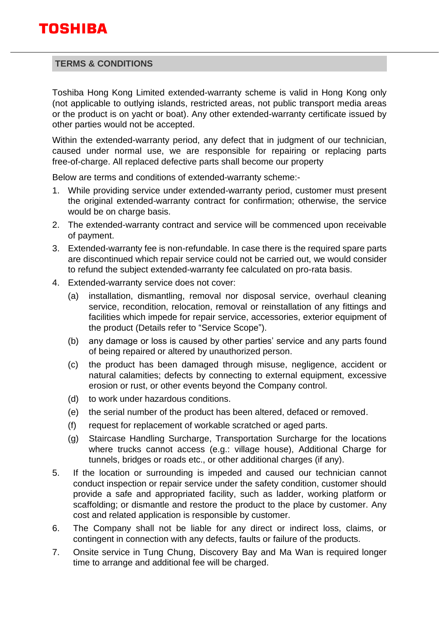

### **TERMS & CONDITIONS**

Toshiba Hong Kong Limited extended-warranty scheme is valid in Hong Kong only (not applicable to outlying islands, restricted areas, not public transport media areas or the product is on yacht or boat). Any other extended-warranty certificate issued by other parties would not be accepted.

Within the extended-warranty period, any defect that in judgment of our technician, caused under normal use, we are responsible for repairing or replacing parts free-of-charge. All replaced defective parts shall become our property

Below are terms and conditions of extended-warranty scheme:-

- 1. While providing service under extended-warranty period, customer must present the original extended-warranty contract for confirmation; otherwise, the service would be on charge basis.
- 2. The extended-warranty contract and service will be commenced upon receivable of payment.
- 3. Extended-warranty fee is non-refundable. In case there is the required spare parts are discontinued which repair service could not be carried out, we would consider to refund the subject extended-warranty fee calculated on pro-rata basis.
- 4. Extended-warranty service does not cover:
	- (a) installation, dismantling, removal nor disposal service, overhaul cleaning service, recondition, relocation, removal or reinstallation of any fittings and facilities which impede for repair service, accessories, exterior equipment of the product (Details refer to "Service Scope").
	- (b) any damage or loss is caused by other parties' service and any parts found of being repaired or altered by unauthorized person.
	- (c) the product has been damaged through misuse, negligence, accident or natural calamities; defects by connecting to external equipment, excessive erosion or rust, or other events beyond the Company control.
	- (d) to work under hazardous conditions.
	- (e) the serial number of the product has been altered, defaced or removed.
	- (f) request for replacement of workable scratched or aged parts.
	- (g) Staircase Handling Surcharge, Transportation Surcharge for the locations where trucks cannot access (e.g.: village house), Additional Charge for tunnels, bridges or roads etc., or other additional charges (if any).
- 5. If the location or surrounding is impeded and caused our technician cannot conduct inspection or repair service under the safety condition, customer should provide a safe and appropriated facility, such as ladder, working platform or scaffolding; or dismantle and restore the product to the place by customer. Any cost and related application is responsible by customer.
- 6. The Company shall not be liable for any direct or indirect loss, claims, or contingent in connection with any defects, faults or failure of the products.
- 7. Onsite service in Tung Chung, Discovery Bay and Ma Wan is required longer time to arrange and additional fee will be charged.